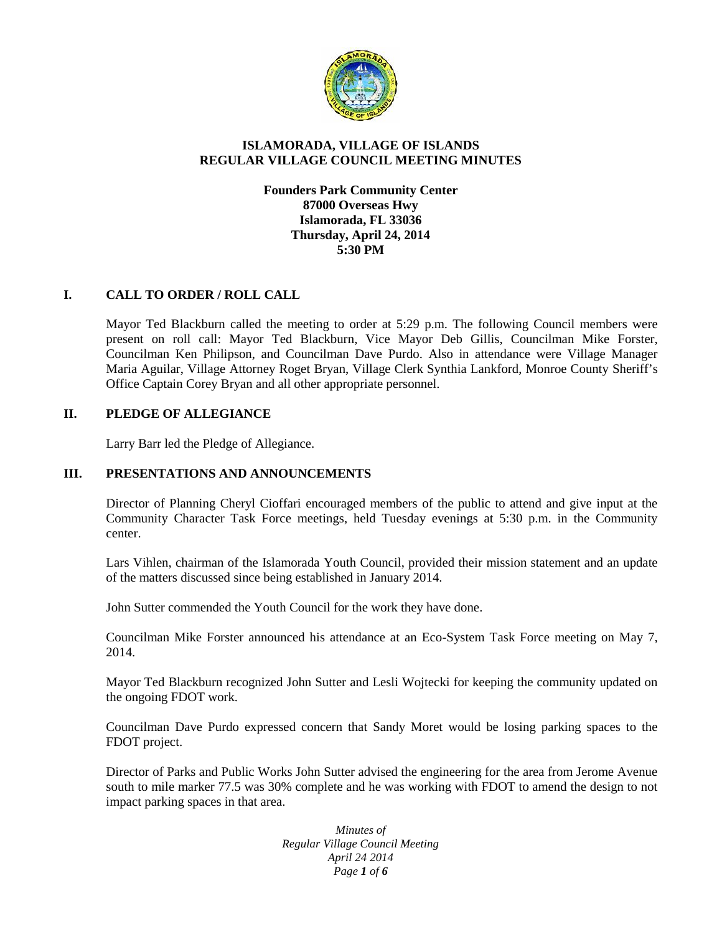

# **ISLAMORADA, VILLAGE OF ISLANDS REGULAR VILLAGE COUNCIL MEETING MINUTES**

## **Founders Park Community Center 87000 Overseas Hwy Islamorada, FL 33036 Thursday, April 24, 2014 5:30 PM**

# **I. CALL TO ORDER / ROLL CALL**

Mayor Ted Blackburn called the meeting to order at 5:29 p.m. The following Council members were present on roll call: Mayor Ted Blackburn, Vice Mayor Deb Gillis, Councilman Mike Forster, Councilman Ken Philipson, and Councilman Dave Purdo. Also in attendance were Village Manager Maria Aguilar, Village Attorney Roget Bryan, Village Clerk Synthia Lankford, Monroe County Sheriff's Office Captain Corey Bryan and all other appropriate personnel.

## **II. PLEDGE OF ALLEGIANCE**

Larry Barr led the Pledge of Allegiance.

## **III. PRESENTATIONS AND ANNOUNCEMENTS**

Director of Planning Cheryl Cioffari encouraged members of the public to attend and give input at the Community Character Task Force meetings, held Tuesday evenings at 5:30 p.m. in the Community center.

Lars Vihlen, chairman of the Islamorada Youth Council, provided their mission statement and an update of the matters discussed since being established in January 2014.

John Sutter commended the Youth Council for the work they have done.

Councilman Mike Forster announced his attendance at an Eco-System Task Force meeting on May 7, 2014.

Mayor Ted Blackburn recognized John Sutter and Lesli Wojtecki for keeping the community updated on the ongoing FDOT work.

Councilman Dave Purdo expressed concern that Sandy Moret would be losing parking spaces to the FDOT project.

Director of Parks and Public Works John Sutter advised the engineering for the area from Jerome Avenue south to mile marker 77.5 was 30% complete and he was working with FDOT to amend the design to not impact parking spaces in that area.

> *Minutes of Regular Village Council Meeting April 24 2014 Page 1 of 6*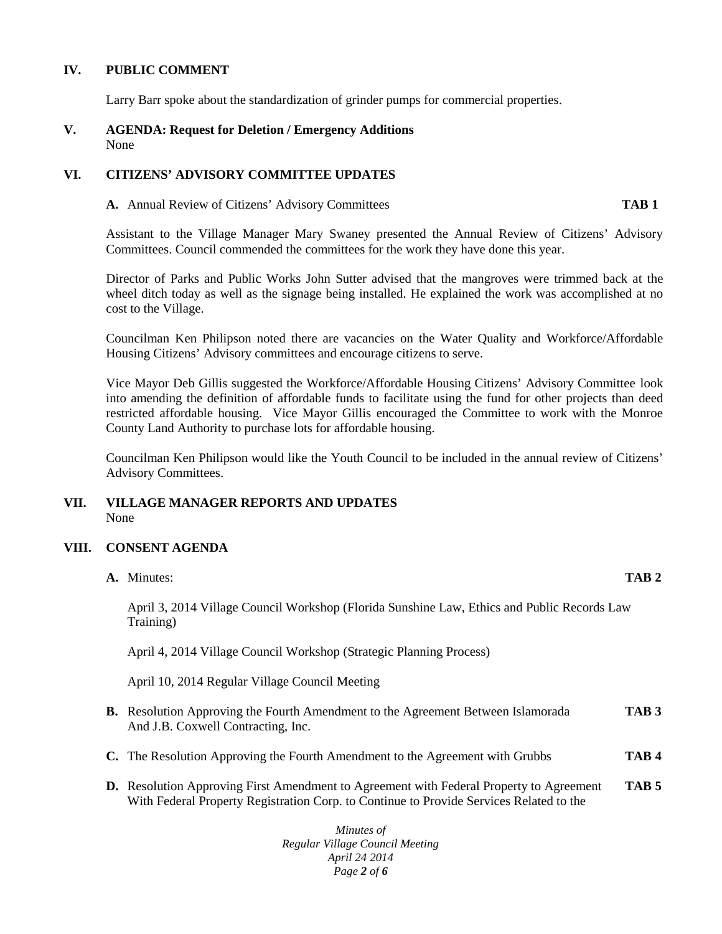#### **IV. PUBLIC COMMENT**

Larry Barr spoke about the standardization of grinder pumps for commercial properties.

#### **V. AGENDA: Request for Deletion / Emergency Additions** None

## **VI. CITIZENS' ADVISORY COMMITTEE UPDATES**

**A.** Annual Review of Citizens' Advisory Committees **TAB 1**

Assistant to the Village Manager Mary Swaney presented the Annual Review of Citizens' Advisory Committees. Council commended the committees for the work they have done this year.

Director of Parks and Public Works John Sutter advised that the mangroves were trimmed back at the wheel ditch today as well as the signage being installed. He explained the work was accomplished at no cost to the Village.

Councilman Ken Philipson noted there are vacancies on the Water Quality and Workforce/Affordable Housing Citizens' Advisory committees and encourage citizens to serve.

Vice Mayor Deb Gillis suggested the Workforce/Affordable Housing Citizens' Advisory Committee look into amending the definition of affordable funds to facilitate using the fund for other projects than deed restricted affordable housing. Vice Mayor Gillis encouraged the Committee to work with the Monroe County Land Authority to purchase lots for affordable housing.

Councilman Ken Philipson would like the Youth Council to be included in the annual review of Citizens' Advisory Committees.

## **VII. VILLAGE MANAGER REPORTS AND UPDATES** None

## **VIII. CONSENT AGENDA**

| A. Minutes:                                                                                                                   | TAB <sub>2</sub> |
|-------------------------------------------------------------------------------------------------------------------------------|------------------|
| April 3, 2014 Village Council Workshop (Florida Sunshine Law, Ethics and Public Records Law<br>Training)                      |                  |
| April 4, 2014 Village Council Workshop (Strategic Planning Process)                                                           |                  |
| April 10, 2014 Regular Village Council Meeting                                                                                |                  |
| <b>B.</b> Resolution Approving the Fourth Amendment to the Agreement Between Islamorada<br>And J.B. Coxwell Contracting, Inc. | TAB <sub>3</sub> |
| <b>C.</b> The Resolution Approving the Fourth Amendment to the Agreement with Grubbs                                          | TAB4             |

**D.** Resolution Approving First Amendment to Agreement with Federal Property to Agreement **TAB 5** With Federal Property Registration Corp. to Continue to Provide Services Related to the

> *Minutes of Regular Village Council Meeting April 24 2014 Page 2 of 6*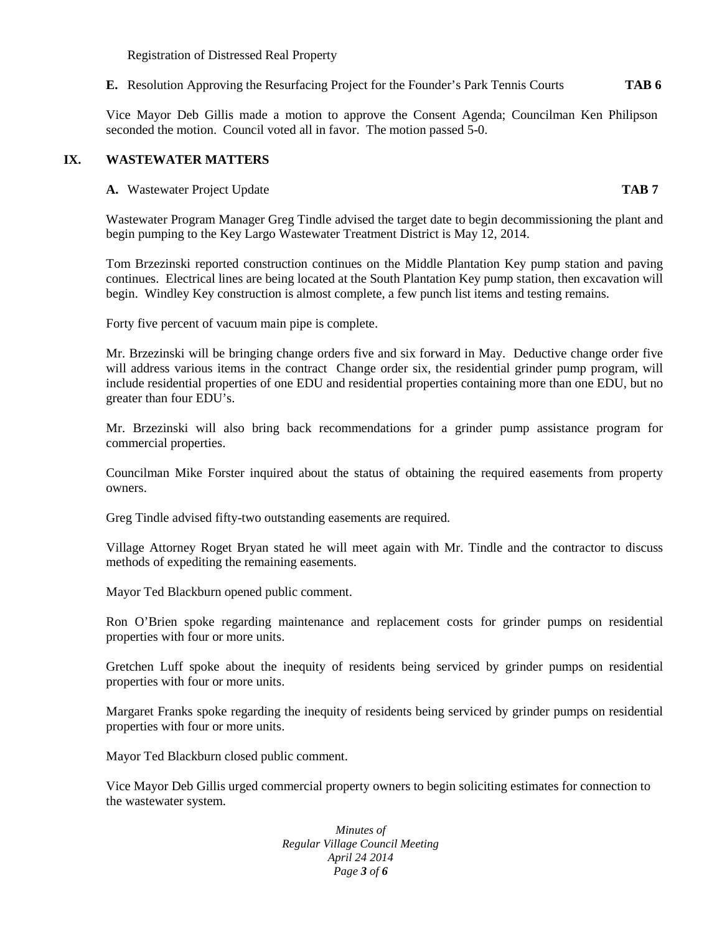Registration of Distressed Real Property

**E.** Resolution Approving the Resurfacing Project for the Founder's Park Tennis Courts **TAB 6**

Vice Mayor Deb Gillis made a motion to approve the Consent Agenda; Councilman Ken Philipson seconded the motion. Council voted all in favor. The motion passed 5-0.

#### **IX. WASTEWATER MATTERS**

**A.** Wastewater Project Update **TAB 7**

Wastewater Program Manager Greg Tindle advised the target date to begin decommissioning the plant and begin pumping to the Key Largo Wastewater Treatment District is May 12, 2014.

Tom Brzezinski reported construction continues on the Middle Plantation Key pump station and paving continues. Electrical lines are being located at the South Plantation Key pump station, then excavation will begin. Windley Key construction is almost complete, a few punch list items and testing remains.

Forty five percent of vacuum main pipe is complete.

Mr. Brzezinski will be bringing change orders five and six forward in May. Deductive change order five will address various items in the contract Change order six, the residential grinder pump program, will include residential properties of one EDU and residential properties containing more than one EDU, but no greater than four EDU's.

Mr. Brzezinski will also bring back recommendations for a grinder pump assistance program for commercial properties.

Councilman Mike Forster inquired about the status of obtaining the required easements from property owners.

Greg Tindle advised fifty-two outstanding easements are required.

Village Attorney Roget Bryan stated he will meet again with Mr. Tindle and the contractor to discuss methods of expediting the remaining easements.

Mayor Ted Blackburn opened public comment.

Ron O'Brien spoke regarding maintenance and replacement costs for grinder pumps on residential properties with four or more units.

Gretchen Luff spoke about the inequity of residents being serviced by grinder pumps on residential properties with four or more units.

Margaret Franks spoke regarding the inequity of residents being serviced by grinder pumps on residential properties with four or more units.

Mayor Ted Blackburn closed public comment.

Vice Mayor Deb Gillis urged commercial property owners to begin soliciting estimates for connection to the wastewater system.

> *Minutes of Regular Village Council Meeting April 24 2014 Page 3 of 6*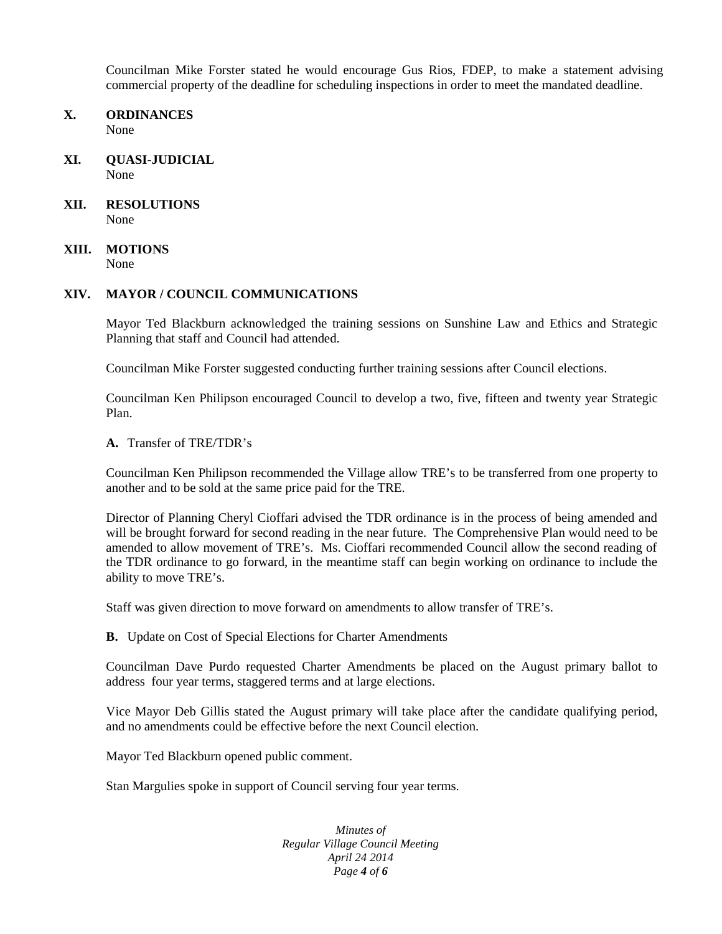Councilman Mike Forster stated he would encourage Gus Rios, FDEP, to make a statement advising commercial property of the deadline for scheduling inspections in order to meet the mandated deadline.

- **X. ORDINANCES** None
- **XI. QUASI-JUDICIAL** None
- **XII. RESOLUTIONS** None
- **XIII. MOTIONS** None

#### **XIV. MAYOR / COUNCIL COMMUNICATIONS**

Mayor Ted Blackburn acknowledged the training sessions on Sunshine Law and Ethics and Strategic Planning that staff and Council had attended.

Councilman Mike Forster suggested conducting further training sessions after Council elections.

Councilman Ken Philipson encouraged Council to develop a two, five, fifteen and twenty year Strategic Plan.

**A.** Transfer of TRE/TDR's

Councilman Ken Philipson recommended the Village allow TRE's to be transferred from one property to another and to be sold at the same price paid for the TRE.

Director of Planning Cheryl Cioffari advised the TDR ordinance is in the process of being amended and will be brought forward for second reading in the near future. The Comprehensive Plan would need to be amended to allow movement of TRE's. Ms. Cioffari recommended Council allow the second reading of the TDR ordinance to go forward, in the meantime staff can begin working on ordinance to include the ability to move TRE's.

Staff was given direction to move forward on amendments to allow transfer of TRE's.

**B.** Update on Cost of Special Elections for Charter Amendments

Councilman Dave Purdo requested Charter Amendments be placed on the August primary ballot to address four year terms, staggered terms and at large elections.

Vice Mayor Deb Gillis stated the August primary will take place after the candidate qualifying period, and no amendments could be effective before the next Council election.

Mayor Ted Blackburn opened public comment.

Stan Margulies spoke in support of Council serving four year terms.

*Minutes of Regular Village Council Meeting April 24 2014 Page 4 of 6*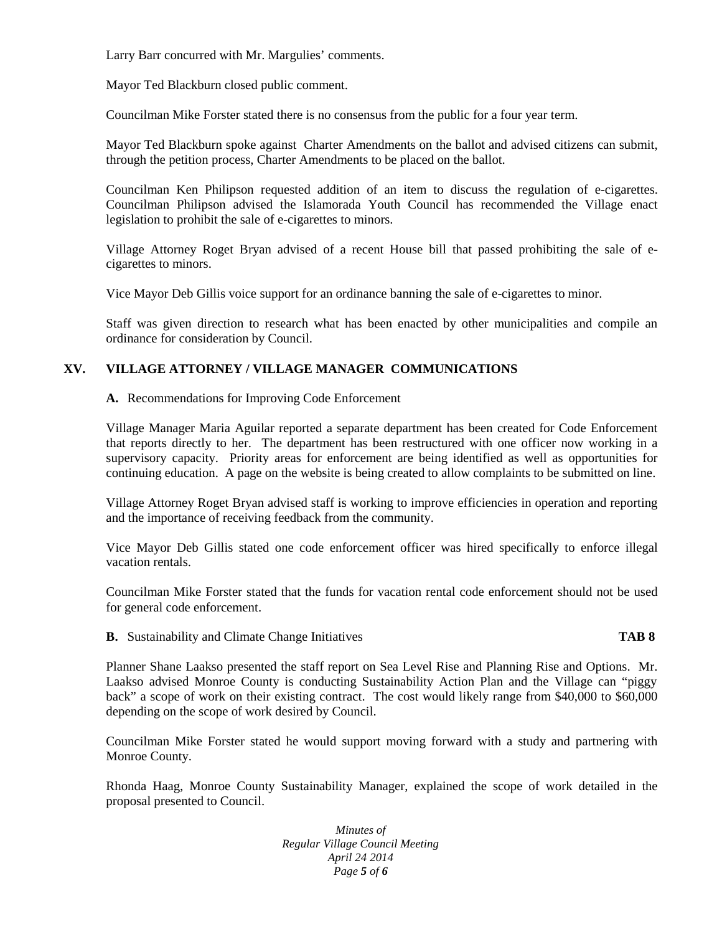Larry Barr concurred with Mr. Margulies' comments.

Mayor Ted Blackburn closed public comment.

Councilman Mike Forster stated there is no consensus from the public for a four year term.

Mayor Ted Blackburn spoke against Charter Amendments on the ballot and advised citizens can submit, through the petition process, Charter Amendments to be placed on the ballot.

Councilman Ken Philipson requested addition of an item to discuss the regulation of e-cigarettes. Councilman Philipson advised the Islamorada Youth Council has recommended the Village enact legislation to prohibit the sale of e-cigarettes to minors.

Village Attorney Roget Bryan advised of a recent House bill that passed prohibiting the sale of e cigarettes to minors.

Vice Mayor Deb Gillis voice support for an ordinance banning the sale of e-cigarettes to minor.

Staff was given direction to research what has been enacted by other municipalities and compile an ordinance for consideration by Council.

# **XV. VILLAGE ATTORNEY / VILLAGE MANAGER COMMUNICATIONS**

**A.** Recommendations for Improving Code Enforcement

Village Manager Maria Aguilar reported a separate department has been created for Code Enforcement that reports directly to her. The department has been restructured with one officer now working in a supervisory capacity. Priority areas for enforcement are being identified as well as opportunities for continuing education. A page on the website is being created to allow complaints to be submitted on line.

Village Attorney Roget Bryan advised staff is working to improve efficiencies in operation and reporting and the importance of receiving feedback from the community.

Vice Mayor Deb Gillis stated one code enforcement officer was hired specifically to enforce illegal vacation rentals.

Councilman Mike Forster stated that the funds for vacation rental code enforcement should not be used for general code enforcement.

**B.** Sustainability and Climate Change Initiatives **TAB 8**

Planner Shane Laakso presented the staff report on Sea Level Rise and Planning Rise and Options. Mr. Laakso advised Monroe County is conducting Sustainability Action Plan and the Village can "piggy back" a scope of work on their existing contract. The cost would likely range from \$40,000 to \$60,000 depending on the scope of work desired by Council.

Councilman Mike Forster stated he would support moving forward with a study and partnering with Monroe County.

Rhonda Haag, Monroe County Sustainability Manager, explained the scope of work detailed in the proposal presented to Council.

> *Minutes of Regular Village Council Meeting April 24 2014 Page 5 of 6*